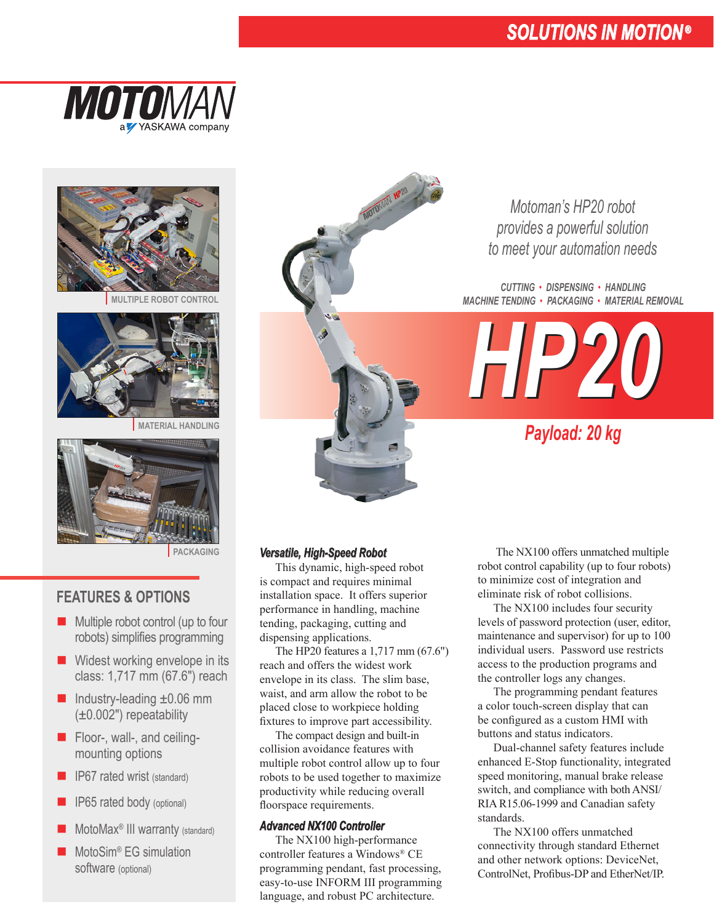# *SOLUTIONS IN MOTION ®*





**MULTIPLE ROBOT CONTROL**



**MATERIAL HANDLING**



**PACKAGING**

## **FEATURES & OPTIONS**

- $\blacksquare$  Multiple robot control (up to four robots) simplifies programming
- $\blacksquare$  Widest working envelope in its class: 1,717 mm (67.6") reach
- $\blacksquare$  Industry-leading  $\pm 0.06$  mm (±0.002") repeatability
- $\blacksquare$  Floor-, wall-, and ceiling- mounting options
- $\blacksquare$  IP67 rated wrist (standard)
- **n** IP65 rated body (optional)
- $\blacksquare$  MotoMax<sup>®</sup> III warranty (standard)
- $\blacksquare$  MotoSim<sup>®</sup> EG simulation software (optional)

MOTONAM HP?

*Motoman's HP20 robot provides a powerful solution to meet your automation needs*

*CUTTING • DISPENSING • HANDLING MACHINE TENDING • PACKAGING • MATERIAL REMOVAL*



*Payload: 20 kg*

#### *Versatile, High-Speed Robot*

 This dynamic, high-speed robot is compact and requires minimal installation space. It offers superior performance in handling, machine tending, packaging, cutting and dispensing applications.

The HP20 features a 1,717 mm (67.6") reach and offers the widest work envelope in its class. The slim base, waist, and arm allow the robot to be placed close to workpiece holding fixtures to improve part accessibility.

 The compact design and built-in collision avoidance features with multiple robot control allow up to four robots to be used together to maximize productivity while reducing overall floorspace requirements.

#### *Advanced NX100 Controller*

 The NX100 high-performance controller features a Windows® CE programming pendant, fast processing, easy-to-use INFORM III programming language, and robust PC architecture.

The NX100 offers unmatched multiple robot control capability (up to four robots) to minimize cost of integration and eliminate risk of robot collisions.

 The NX100 includes four security levels of password protection (user, editor, maintenance and supervisor) for up to 100 individual users. Password use restricts access to the production programs and the controller logs any changes.

 The programming pendant features a color touch-screen display that can be configured as a custom HMI with buttons and status indicators.

 Dual-channel safety features include enhanced E-Stop functionality, integrated speed monitoring, manual brake release switch, and compliance with both ANSI/ RIA R15.06-1999 and Canadian safety standards.

 The NX100 offers unmatched connectivity through standard Ethernet and other network options: DeviceNet, ControlNet, Profibus-DP and EtherNet/IP.